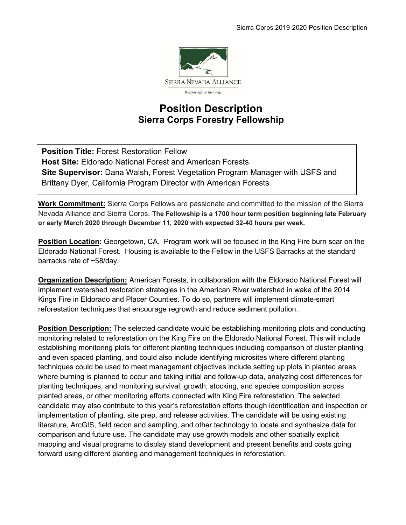

# Position Description Sierra Corps Forestry Fellowship

Position Title: Forest Restoration Fellow Host Site: Eldorado National Forest and American Forests Site Supervisor: Dana Walsh, Forest Vegetation Program Manager with USFS and Brittany Dyer, California Program Director with American Forests

 $\ddot{\phantom{a}}$ 

Work Commitment: Sierra Corps Fellows are passionate and committed to the mission of the Sierra Nevada Alliance and Sierra Corps. The Fellowship is a 1700 hour term position beginning late February or early March 2020 through December 11, 2020 with expected 32-40 hours per week.

**Position Location:** Georgetown, CA. Program work will be focused in the King Fire burn scar on the Eldorado National Forest. Housing is available to the Fellow in the USFS Barracks at the standard barracks rate of ~\$8/day.

**Organization Description:** American Forests, in collaboration with the Eldorado National Forest will implement watershed restoration strategies in the American River watershed in wake of the 2014 Kings Fire in Eldorado and Placer Counties. To do so, partners will implement climate-smart reforestation techniques that encourage regrowth and reduce sediment pollution.

Position Description: The selected candidate would be establishing monitoring plots and conducting monitoring related to reforestation on the King Fire on the Eldorado National Forest. This will include establishing monitoring plots for different planting techniques including comparison of cluster planting and even spaced planting, and could also include identifying microsites where different planting techniques could be used to meet management objectives include setting up plots in planted areas where burning is planned to occur and taking initial and follow-up data, analyzing cost differences for planting techniques, and monitoring survival, growth, stocking, and species composition across planted areas, or other monitoring efforts connected with King Fire reforestation. The selected candidate may also contribute to this year's reforestation efforts though identification and inspection or implementation of planting, site prep, and release activities. The candidate will be using existing literature, ArcGIS, field recon and sampling, and other technology to locate and synthesize data for comparison and future use. The candidate may use growth models and other spatially explicit mapping and visual programs to display stand development and present benefits and costs going forward using different planting and management techniques in reforestation.